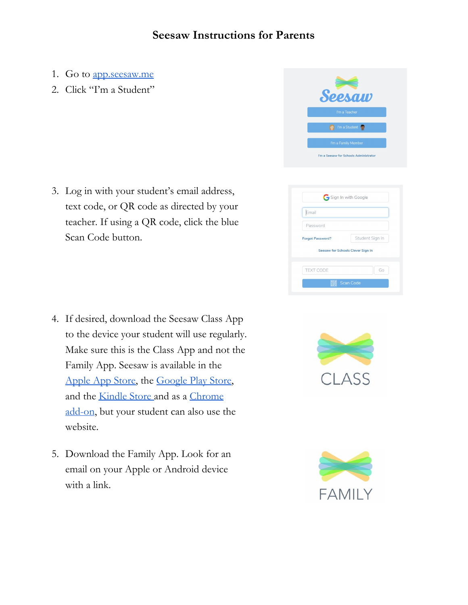## **Seesaw Instructions for Parents**

- 1. Go to [app.seesaw.me](http://app.seesaw.me/)
- 2. Click "I'm a Student"

3. Log in with your student's email address, text code, or QR code as directed by your teacher. If using a QR code, click the blue Scan Code button.

- 4. If desired, download the Seesaw Class App to the device your student will use regularly. Make sure this is the Class App and not the Family App. Seesaw is available in the [Apple](https://itunes.apple.com/us/app/seesaw-multimedia-journal/id930565184?ls=1&mt=8) App Store, the [Google](https://play.google.com/store/apps/details?hl=en&id=seesaw.shadowpuppet.co.classroom) Play Store, and the [Kindle](https://chrome.google.com/webstore/detail/seesaw-the-learning-journ/adnohgfkodfphemhddnmikhflkolfjfh?hl=en-US) Store and as a [Chrome](https://chrome.google.com/webstore/detail/seesaw-the-learning-journ/adnohgfkodfphemhddnmikhflkolfjfh?hl=en-US) [add-on,](https://chrome.google.com/webstore/detail/seesaw-the-learning-journ/adnohgfkodfphemhddnmikhflkolfjfh?hl=en-US) but your student can also use the website.
- 5. Download the Family App. Look for an email on your Apple or Android device with a link.







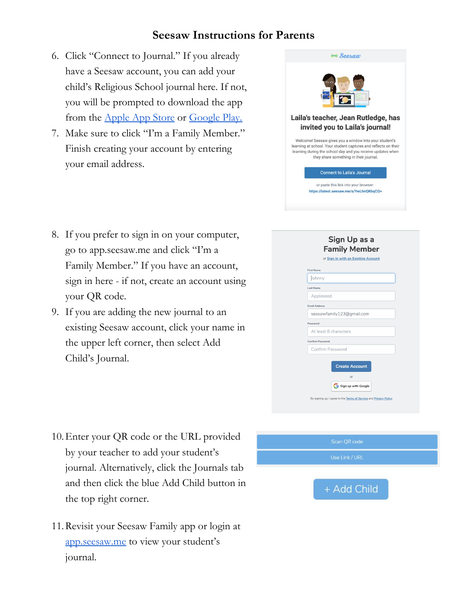## **Seesaw Instructions for Parents**

- 6. Click "Connect to Journal." If you already have a Seesaw account, you can add your child's Religious School journal here. If not, you will be prompted to download the app from the [Apple](https://itunes.apple.com/us/app/seesaw-parent-access/id930565469?mt=8) App Store or [Google](https://play.google.com/store/apps/details?id=seesaw.shadowpuppet.co.seesaw) Play.
- 7. Make sure to click "I'm a Family Member." Finish creating your account by entering your email address.

| Seesam                                                                                                                                                                                                                             |
|------------------------------------------------------------------------------------------------------------------------------------------------------------------------------------------------------------------------------------|
|                                                                                                                                                                                                                                    |
| Laila's teacher, Jean Rutledge, has<br>invited you to Laila's journal!                                                                                                                                                             |
| Welcome! Seesaw gives you a window into your student's<br>learning at school. Your student captures and reflects on their<br>learning during the school day and you receive updates when<br>they share something in their journal. |
| <b>Connect to Laila's Journal</b>                                                                                                                                                                                                  |
| or paste this link into your browser:<br>https://latest.seesaw.me/s/YwLhnQKbqCQ=                                                                                                                                                   |

- 8. If you prefer to sign in on your computer, go to app.seesaw.me and click "I'm a Family Member." If you have an account, sign in here - if not, create an account using your QR code.
- 9. If you are adding the new journal to an existing Seesaw account, click your name in the upper left corner, then select Add Child's Journal.

| <b>First Name</b><br>Johnny |  |
|-----------------------------|--|
|                             |  |
| <b>Last Name</b>            |  |
|                             |  |
| Appleseed                   |  |
| <b>Email Address</b>        |  |
| seesawfamily123@gmail.com   |  |
| Password                    |  |
| At least 8 characters       |  |
| Confirm Password            |  |
| Confirm Password            |  |
| <b>Create Account</b>       |  |
| or                          |  |

- 10.Enter your QR code or the URL provided by your teacher to add your student's journal. Alternatively, click the Journals tab and then click the blue Add Child button in the top right corner.
- 11.Revisit your Seesaw Family app or login at [app.seesaw.me](http://app.seesaw.me/) to view your student's journal.